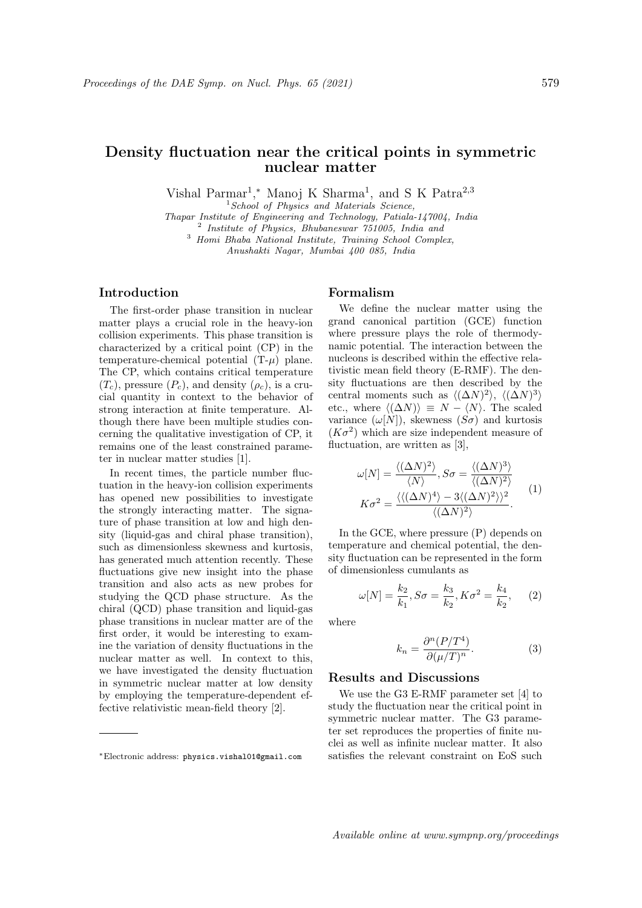# Density fluctuation near the critical points in symmetric nuclear matter

Vishal Parmar<sup>1</sup>,\* Manoj K Sharma<sup>1</sup>, and S K Patra<sup>2,3</sup>

 $<sup>1</sup> School of Physics and Materials Science,$ </sup>

Thapar Institute of Engineering and Technology, Patiala-147004, India

<sup>2</sup> Institute of Physics, Bhubaneswar 751005, India and <sup>3</sup> Homi Bhaba National Institute, Training School Complex,

Anushakti Nagar, Mumbai 400 085, India

## Introduction

The first-order phase transition in nuclear matter plays a crucial role in the heavy-ion collision experiments. This phase transition is characterized by a critical point (CP) in the temperature-chemical potential  $(T-\mu)$  plane. The CP, which contains critical temperature  $(T_c)$ , pressure  $(P_c)$ , and density  $(\rho_c)$ , is a crucial quantity in context to the behavior of strong interaction at finite temperature. Although there have been multiple studies concerning the qualitative investigation of CP, it remains one of the least constrained parameter in nuclear matter studies [1].

In recent times, the particle number fluctuation in the heavy-ion collision experiments has opened new possibilities to investigate the strongly interacting matter. The signature of phase transition at low and high density (liquid-gas and chiral phase transition), such as dimensionless skewness and kurtosis, has generated much attention recently. These fluctuations give new insight into the phase transition and also acts as new probes for studying the QCD phase structure. As the chiral (QCD) phase transition and liquid-gas phase transitions in nuclear matter are of the first order, it would be interesting to examine the variation of density fluctuations in the nuclear matter as well. In context to this, we have investigated the density fluctuation in symmetric nuclear matter at low density by employing the temperature-dependent effective relativistic mean-field theory [2].

## Formalism

We define the nuclear matter using the grand canonical partition (GCE) function where pressure plays the role of thermodynamic potential. The interaction between the nucleons is described within the effective relativistic mean field theory (E-RMF). The density fluctuations are then described by the central moments such as  $\langle (\Delta N)^2 \rangle$ ,  $\langle (\Delta N)^3 \rangle$ etc., where  $\langle (\Delta N) \rangle \equiv N - \langle N \rangle$ . The scaled variance  $(\omega[N])$ , skewness  $(S\sigma)$  and kurtosis  $(K\sigma^2)$  which are size independent measure of fluctuation, are written as [3],

$$
\omega[N] = \frac{\langle (\Delta N)^2 \rangle}{\langle N \rangle}, S\sigma = \frac{\langle (\Delta N)^3 \rangle}{\langle (\Delta N)^2 \rangle}
$$

$$
K\sigma^2 = \frac{\langle (\Delta N)^4 \rangle - 3 \langle (\Delta N)^2 \rangle \rangle^2}{\langle (\Delta N)^2 \rangle}.
$$
(1)

In the GCE, where pressure (P) depends on temperature and chemical potential, the density fluctuation can be represented in the form of dimensionless cumulants as

$$
\omega[N] = \frac{k_2}{k_1}, S\sigma = \frac{k_3}{k_2}, K\sigma^2 = \frac{k_4}{k_2}, \quad (2)
$$

where

$$
k_n = \frac{\partial^n (P/T^4)}{\partial (\mu/T)^n}.
$$
 (3)

#### Results and Discussions

We use the G3 E-RMF parameter set [4] to study the fluctuation near the critical point in symmetric nuclear matter. The G3 parameter set reproduces the properties of finite nuclei as well as infinite nuclear matter. It also satisfies the relevant constraint on EoS such

<sup>∗</sup>Electronic address: physics.vishal01@gmail.com